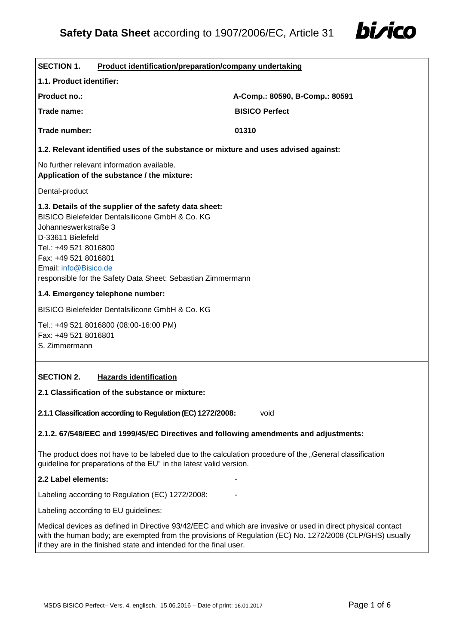

| <b>SECTION 1.</b><br><b>Product identification/preparation/company undertaking</b>                                                                                                                                                                                                              |                                |  |  |
|-------------------------------------------------------------------------------------------------------------------------------------------------------------------------------------------------------------------------------------------------------------------------------------------------|--------------------------------|--|--|
| 1.1. Product identifier:                                                                                                                                                                                                                                                                        |                                |  |  |
| Product no.:                                                                                                                                                                                                                                                                                    | A-Comp.: 80590, B-Comp.: 80591 |  |  |
| Trade name:                                                                                                                                                                                                                                                                                     | <b>BISICO Perfect</b>          |  |  |
| Trade number:                                                                                                                                                                                                                                                                                   | 01310                          |  |  |
| 1.2. Relevant identified uses of the substance or mixture and uses advised against:                                                                                                                                                                                                             |                                |  |  |
| No further relevant information available.<br>Application of the substance / the mixture:                                                                                                                                                                                                       |                                |  |  |
| Dental-product                                                                                                                                                                                                                                                                                  |                                |  |  |
| 1.3. Details of the supplier of the safety data sheet:<br>BISICO Bielefelder Dentalsilicone GmbH & Co. KG<br>Johanneswerkstraße 3<br>D-33611 Bielefeld<br>Tel.: +49 521 8016800<br>Fax: +49 521 8016801<br>Email: info@Bisico.de<br>responsible for the Safety Data Sheet: Sebastian Zimmermann |                                |  |  |
| 1.4. Emergency telephone number:                                                                                                                                                                                                                                                                |                                |  |  |
| <b>BISICO Bielefelder Dentalsilicone GmbH &amp; Co. KG</b>                                                                                                                                                                                                                                      |                                |  |  |
| Tel.: +49 521 8016800 (08:00-16:00 PM)<br>Fax: +49 521 8016801<br>S. Zimmermann                                                                                                                                                                                                                 |                                |  |  |
| <b>SECTION 2.</b><br><b>Hazards identification</b>                                                                                                                                                                                                                                              |                                |  |  |
| 2.1 Classification of the substance or mixture:                                                                                                                                                                                                                                                 |                                |  |  |
| 2.1.1 Classification according to Regulation (EC) 1272/2008:                                                                                                                                                                                                                                    | void                           |  |  |
| 2.1.2. 67/548/EEC and 1999/45/EC Directives and following amendments and adjustments:                                                                                                                                                                                                           |                                |  |  |
| The product does not have to be labeled due to the calculation procedure of the "General classification<br>guideline for preparations of the EU" in the latest valid version.                                                                                                                   |                                |  |  |
| 2.2 Label elements:                                                                                                                                                                                                                                                                             |                                |  |  |
| Labeling according to Regulation (EC) 1272/2008:                                                                                                                                                                                                                                                |                                |  |  |
| Labeling according to EU guidelines:                                                                                                                                                                                                                                                            |                                |  |  |
| Medical devices as defined in Directive 93/42/EEC and which are invasive or used in direct physical contact<br>with the human body; are exempted from the provisions of Regulation (EC) No. 1272/2008 (CLP/GHS) usually<br>if they are in the finished state and intended for the final user.   |                                |  |  |
|                                                                                                                                                                                                                                                                                                 |                                |  |  |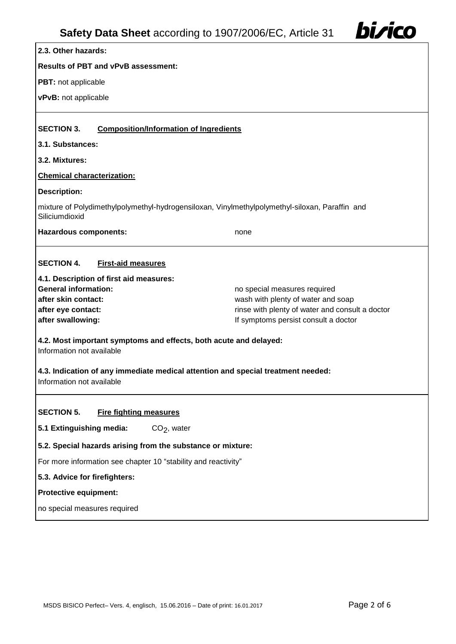| Safety Data Sheet according to 1907/2006/EC, Article 31                                                                                                                                                                                                                                                                                                                                                                                                                                                                                                                        | bi <i>r</i> ico |  |
|--------------------------------------------------------------------------------------------------------------------------------------------------------------------------------------------------------------------------------------------------------------------------------------------------------------------------------------------------------------------------------------------------------------------------------------------------------------------------------------------------------------------------------------------------------------------------------|-----------------|--|
| 2.3. Other hazards:                                                                                                                                                                                                                                                                                                                                                                                                                                                                                                                                                            |                 |  |
| <b>Results of PBT and vPvB assessment:</b>                                                                                                                                                                                                                                                                                                                                                                                                                                                                                                                                     |                 |  |
| PBT: not applicable                                                                                                                                                                                                                                                                                                                                                                                                                                                                                                                                                            |                 |  |
| vPvB: not applicable                                                                                                                                                                                                                                                                                                                                                                                                                                                                                                                                                           |                 |  |
|                                                                                                                                                                                                                                                                                                                                                                                                                                                                                                                                                                                |                 |  |
| <b>SECTION 3.</b><br><b>Composition/Information of Ingredients</b>                                                                                                                                                                                                                                                                                                                                                                                                                                                                                                             |                 |  |
| 3.1. Substances:                                                                                                                                                                                                                                                                                                                                                                                                                                                                                                                                                               |                 |  |
| 3.2. Mixtures:                                                                                                                                                                                                                                                                                                                                                                                                                                                                                                                                                                 |                 |  |
| <b>Chemical characterization:</b>                                                                                                                                                                                                                                                                                                                                                                                                                                                                                                                                              |                 |  |
| <b>Description:</b>                                                                                                                                                                                                                                                                                                                                                                                                                                                                                                                                                            |                 |  |
| mixture of Polydimethylpolymethyl-hydrogensiloxan, Vinylmethylpolymethyl-siloxan, Paraffin and<br>Siliciumdioxid                                                                                                                                                                                                                                                                                                                                                                                                                                                               |                 |  |
| <b>Hazardous components:</b>                                                                                                                                                                                                                                                                                                                                                                                                                                                                                                                                                   | none            |  |
| <b>SECTION 4.</b><br><b>First-aid measures</b><br>4.1. Description of first aid measures:<br><b>General information:</b><br>no special measures required<br>after skin contact:<br>wash with plenty of water and soap<br>rinse with plenty of water and consult a doctor<br>after eye contact:<br>If symptoms persist consult a doctor<br>after swallowing:<br>4.2. Most important symptoms and effects, both acute and delayed:<br>Information not available<br>4.3. Indication of any immediate medical attention and special treatment needed:<br>Information not available |                 |  |
| <b>SECTION 5.</b><br><b>Fire fighting measures</b><br>5.1 Extinguishing media:<br>$CO2$ , water<br>5.2. Special hazards arising from the substance or mixture:<br>For more information see chapter 10 "stability and reactivity"<br>5.3. Advice for firefighters:<br><b>Protective equipment:</b><br>no special measures required                                                                                                                                                                                                                                              |                 |  |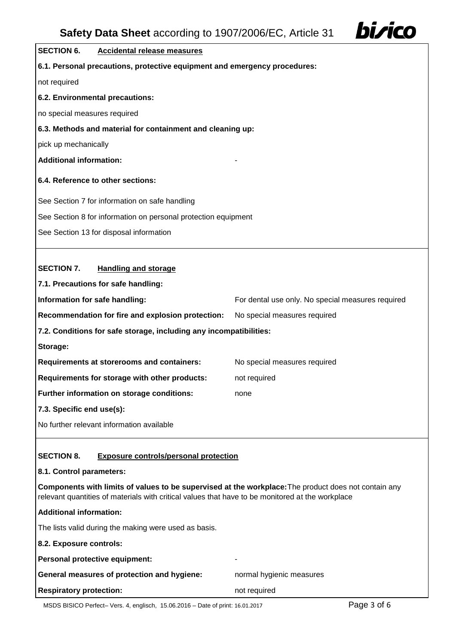

## **SECTION 6. Accidental release measures 6.1. Personal precautions, protective equipment and emergency procedures:** not required **6.2. Environmental precautions:** no special measures required **6.3. Methods and material for containment and cleaning up:** pick up mechanically **Additional information:** - **6.4. Reference to other sections:** See Section 7 for information on safe handling See Section 8 for information on personal protection equipment

See Section 13 for disposal information

## **SECTION 7. Handling and storage**

**7.1. Precautions for safe handling: Information for safe handling:** For dental use only. No special measures required **Recommendation for fire and explosion protection:** No special measures required **7.2. Conditions for safe storage, including any incompatibilities: Storage: Requirements at storerooms and containers:** No special measures required **Requirements for storage with other products:** not required **Further information on storage conditions:** none **7.3. Specific end use(s):** No further relevant information available

## **SECTION 8. Exposure controls/personal protection**

#### **8.1. Control parameters:**

**Components with limits of values to be supervised at the workplace:**The product does not contain any relevant quantities of materials with critical values that have to be monitored at the workplace

| relevant quantities of materials with critical values that have to be monitored at the workplace |                          |  |
|--------------------------------------------------------------------------------------------------|--------------------------|--|
| Additional information:                                                                          |                          |  |
| The lists valid during the making were used as basis.                                            |                          |  |
| 8.2. Exposure controls:                                                                          |                          |  |
| Personal protective equipment:                                                                   | -                        |  |
| <b>General measures of protection and hygiene:</b>                                               | normal hygienic measures |  |
| <b>Respiratory protection:</b>                                                                   | not required             |  |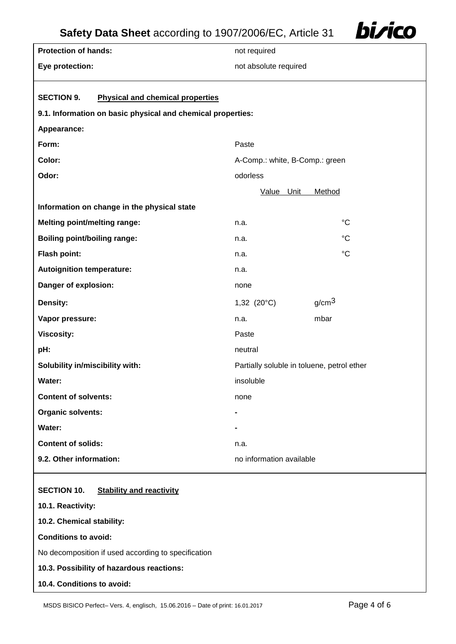

| <b>Protection of hands:</b>                                  | not required                               |                                |  |
|--------------------------------------------------------------|--------------------------------------------|--------------------------------|--|
| Eye protection:                                              | not absolute required                      |                                |  |
|                                                              |                                            |                                |  |
| <b>SECTION 9.</b><br><b>Physical and chemical properties</b> |                                            |                                |  |
| 9.1. Information on basic physical and chemical properties:  |                                            |                                |  |
| Appearance:                                                  |                                            |                                |  |
| Form:                                                        | Paste                                      |                                |  |
| Color:                                                       |                                            | A-Comp.: white, B-Comp.: green |  |
| Odor:                                                        | odorless                                   |                                |  |
|                                                              | Value Unit                                 | Method                         |  |
| Information on change in the physical state                  |                                            |                                |  |
| <b>Melting point/melting range:</b>                          | n.a.                                       | $^{\circ}C$                    |  |
| <b>Boiling point/boiling range:</b>                          | n.a.                                       | $^{\circ}C$                    |  |
| Flash point:                                                 | n.a.                                       | $^{\circ}C$                    |  |
| <b>Autoignition temperature:</b>                             | n.a.                                       |                                |  |
| Danger of explosion:                                         | none                                       |                                |  |
| Density:                                                     | 1,32 $(20^{\circ}C)$                       | g/cm <sup>3</sup>              |  |
| Vapor pressure:                                              | n.a.                                       | mbar                           |  |
| <b>Viscosity:</b>                                            | Paste                                      |                                |  |
| pH:                                                          | neutral                                    |                                |  |
| Solubility in/miscibility with:                              | Partially soluble in toluene, petrol ether |                                |  |
| Water:                                                       | insoluble                                  |                                |  |
| <b>Content of solvents:</b>                                  | none                                       |                                |  |
| <b>Organic solvents:</b>                                     |                                            |                                |  |
| Water:                                                       |                                            |                                |  |
| <b>Content of solids:</b>                                    | n.a.                                       |                                |  |
| 9.2. Other information:                                      | no information available                   |                                |  |
|                                                              |                                            |                                |  |

### **SECTION 10. Stability and reactivity**

| 10.1. Reactivity:                                   |  |
|-----------------------------------------------------|--|
| 10.2. Chemical stability:                           |  |
| <b>Conditions to avoid:</b>                         |  |
| No decomposition if used according to specification |  |
| 10.3. Possibility of hazardous reactions:           |  |
| 10.4. Conditions to avoid:                          |  |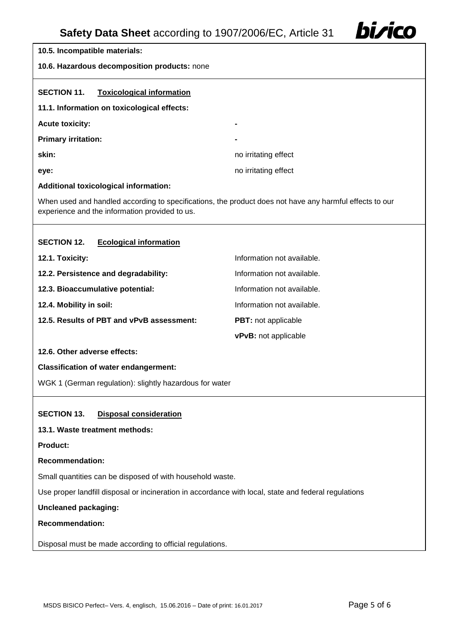

# **10.5. Incompatible materials: 10.6. Hazardous decomposition products:** none **SECTION 11. Toxicological information 11.1. Information on toxicological effects: Acute toxicity: - Primary irritation: skin:** no irritating effect **eye:** no irritating effect **Additional toxicological information:** When used and handled according to specifications, the product does not have any harmful effects to our experience and the information provided to us. **SECTION 12. Ecological information 12.1. Toxicity:** Information not available. **12.2. Persistence and degradability: Information not available. 12.3. Bioaccumulative potential:** Information not available. **12.4. Mobility in soil:** Information not available. **12.5. Results of PBT and vPvB assessment: PBT:** not applicable **vPvB:** not applicable **12.6. Other adverse effects: Classification of water endangerment:** WGK 1 (German regulation): slightly hazardous for water **SECTION 13. Disposal consideration 13.1. Waste treatment methods: Product: Recommendation:** Small quantities can be disposed of with household waste. Use proper landfill disposal or incineration in accordance with local, state and federal regulations **Uncleaned packaging: Recommendation:** Disposal must be made according to official regulations.